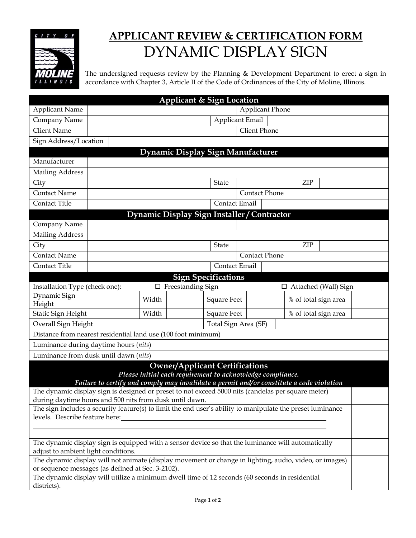

## **APPLICANT REVIEW & CERTIFICATION FORM** DYNAMIC DISPLAY SIGN

The undersigned requests review by the Planning & Development Department to erect a sign in accordance with Chapter 3, Article II of the Code of Ordinances of the City of Moline, Illinois.

| <b>Applicant &amp; Sign Location</b>                                                                                                                                                                                                                                                                                                                             |  |       |                          |                    |                        |  |                      |                             |  |
|------------------------------------------------------------------------------------------------------------------------------------------------------------------------------------------------------------------------------------------------------------------------------------------------------------------------------------------------------------------|--|-------|--------------------------|--------------------|------------------------|--|----------------------|-----------------------------|--|
| <b>Applicant Name</b>                                                                                                                                                                                                                                                                                                                                            |  |       |                          |                    | <b>Applicant Phone</b> |  |                      |                             |  |
| Company Name                                                                                                                                                                                                                                                                                                                                                     |  |       |                          |                    | <b>Applicant Email</b> |  |                      |                             |  |
| <b>Client Name</b>                                                                                                                                                                                                                                                                                                                                               |  |       |                          |                    | Client Phone           |  |                      |                             |  |
| Sign Address/Location                                                                                                                                                                                                                                                                                                                                            |  |       |                          |                    |                        |  |                      |                             |  |
| Dynamic Display Sign Manufacturer                                                                                                                                                                                                                                                                                                                                |  |       |                          |                    |                        |  |                      |                             |  |
| Manufacturer                                                                                                                                                                                                                                                                                                                                                     |  |       |                          |                    |                        |  |                      |                             |  |
| <b>Mailing Address</b>                                                                                                                                                                                                                                                                                                                                           |  |       |                          |                    |                        |  |                      |                             |  |
| City                                                                                                                                                                                                                                                                                                                                                             |  |       |                          | <b>State</b>       |                        |  | ZIP                  |                             |  |
| <b>Contact Name</b>                                                                                                                                                                                                                                                                                                                                              |  |       |                          |                    | <b>Contact Phone</b>   |  |                      |                             |  |
| Contact Title                                                                                                                                                                                                                                                                                                                                                    |  |       |                          | Contact Email      |                        |  |                      |                             |  |
| Dynamic Display Sign Installer / Contractor                                                                                                                                                                                                                                                                                                                      |  |       |                          |                    |                        |  |                      |                             |  |
| Company Name                                                                                                                                                                                                                                                                                                                                                     |  |       |                          |                    |                        |  |                      |                             |  |
| <b>Mailing Address</b>                                                                                                                                                                                                                                                                                                                                           |  |       |                          |                    |                        |  |                      |                             |  |
| City                                                                                                                                                                                                                                                                                                                                                             |  |       |                          | <b>State</b>       |                        |  | ZIP                  |                             |  |
| Contact Name                                                                                                                                                                                                                                                                                                                                                     |  |       |                          |                    | <b>Contact Phone</b>   |  |                      |                             |  |
| Contact Title                                                                                                                                                                                                                                                                                                                                                    |  |       |                          | Contact Email      |                        |  |                      |                             |  |
| <b>Sign Specifications</b>                                                                                                                                                                                                                                                                                                                                       |  |       |                          |                    |                        |  |                      |                             |  |
| Installation Type (check one):                                                                                                                                                                                                                                                                                                                                   |  |       | $\Box$ Freestanding Sign |                    |                        |  |                      | $\Box$ Attached (Wall) Sign |  |
| Dynamic Sign<br>Height                                                                                                                                                                                                                                                                                                                                           |  | Width |                          | <b>Square Feet</b> |                        |  | % of total sign area |                             |  |
| Static Sign Height                                                                                                                                                                                                                                                                                                                                               |  | Width |                          | <b>Square Feet</b> |                        |  | % of total sign area |                             |  |
| Overall Sign Height                                                                                                                                                                                                                                                                                                                                              |  |       |                          |                    | Total Sign Area (SF)   |  |                      |                             |  |
| Distance from nearest residential land use (100 foot minimum)                                                                                                                                                                                                                                                                                                    |  |       |                          |                    |                        |  |                      |                             |  |
| Luminance during daytime hours (nits)                                                                                                                                                                                                                                                                                                                            |  |       |                          |                    |                        |  |                      |                             |  |
| Luminance from dusk until dawn (nits)                                                                                                                                                                                                                                                                                                                            |  |       |                          |                    |                        |  |                      |                             |  |
| <b>Owner/Applicant Certifications</b><br>Please initial each requirement to acknowledge compliance.<br>Failure to certify and comply may invalidate a permit and/or constitute a code violation<br>The dynamic display sign is designed or preset to not exceed 5000 nits (candelas per square meter)<br>during daytime hours and 500 nits from dusk until dawn. |  |       |                          |                    |                        |  |                      |                             |  |
|                                                                                                                                                                                                                                                                                                                                                                  |  |       |                          |                    |                        |  |                      |                             |  |
| The sign includes a security feature(s) to limit the end user's ability to manipulate the preset luminance<br>levels. Describe feature here:                                                                                                                                                                                                                     |  |       |                          |                    |                        |  |                      |                             |  |
|                                                                                                                                                                                                                                                                                                                                                                  |  |       |                          |                    |                        |  |                      |                             |  |
| The dynamic display sign is equipped with a sensor device so that the luminance will automatically<br>adjust to ambient light conditions.                                                                                                                                                                                                                        |  |       |                          |                    |                        |  |                      |                             |  |
| The dynamic display will not animate (display movement or change in lighting, audio, video, or images)<br>or sequence messages (as defined at Sec. 3-2102).                                                                                                                                                                                                      |  |       |                          |                    |                        |  |                      |                             |  |
| The dynamic display will utilize a minimum dwell time of 12 seconds (60 seconds in residential<br>districts).                                                                                                                                                                                                                                                    |  |       |                          |                    |                        |  |                      |                             |  |